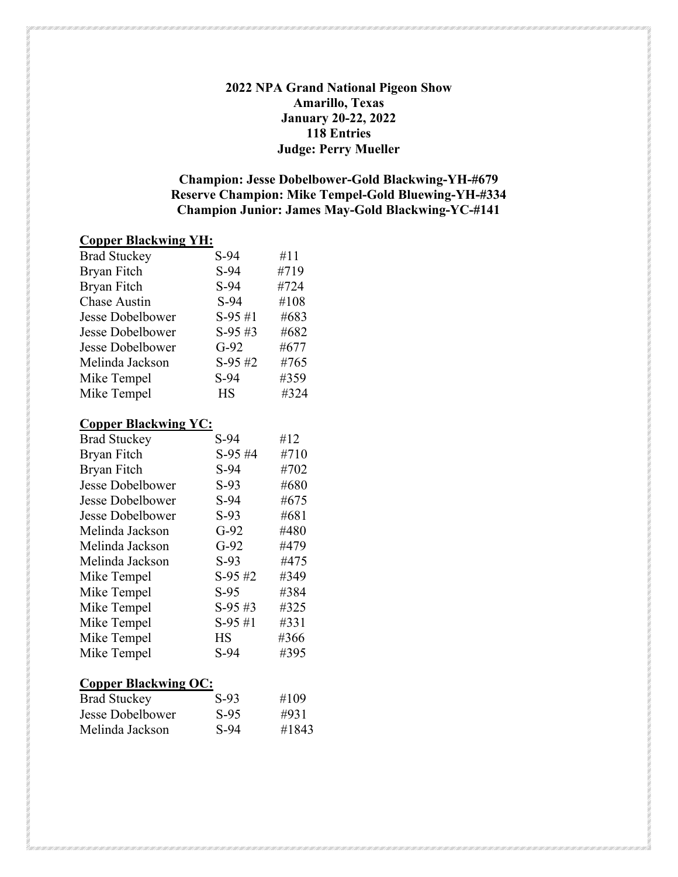#### **2022 NPA Grand National Pigeon Show Amarillo, Texas January 20-22, 2022 118 Entries Judge: Perry Mueller**

### **Champion: Jesse Dobelbower-Gold Blackwing-YH-#679 Reserve Champion: Mike Tempel-Gold Bluewing-YH-#334 Champion Junior: James May-Gold Blackwing-YC-#141**

#### **Copper Blackwing YH:**

| <b>Brad Stuckey</b>     | $S-94$    | #11  |
|-------------------------|-----------|------|
| Bryan Fitch             | $S-94$    | #719 |
| <b>Bryan Fitch</b>      | $S-94$    | #724 |
| <b>Chase Austin</b>     | $S-94$    | #108 |
| <b>Jesse Dobelbower</b> | $S-95#1$  | #683 |
| <b>Jesse Dobelbower</b> | $S-95#3$  | #682 |
| <b>Jesse Dobelbower</b> | $G-92$    | #677 |
| Melinda Jackson         | $S-95#2$  | #765 |
| Mike Tempel             | $S-94$    | #359 |
| Mike Tempel             | <b>HS</b> | #324 |
|                         |           |      |

#### **Copper Blackwing YC:**

| <b>Brad Stuckey</b>     | $S-94$     | #12  |
|-------------------------|------------|------|
| <b>Bryan Fitch</b>      | $S-95#4$   | #710 |
| Bryan Fitch             | $S-94$     | #702 |
| <b>Jesse Dobelbower</b> | $S-93$     | #680 |
| Jesse Dobelbower        | $S-94$     | #675 |
| Jesse Dobelbower        | $S-93$     | #681 |
| Melinda Jackson         | $G-92$     | #480 |
| Melinda Jackson         | $G-92$     | #479 |
| Melinda Jackson         | $S-93$     | #475 |
| Mike Tempel             | $S-95#2$   | #349 |
| Mike Tempel             | $S-95$     | #384 |
| Mike Tempel             | $S-95 \#3$ | #325 |
| Mike Tempel             | $S-95#1$   | #331 |
| Mike Tempel             | HS         | #366 |
| Mike Tempel             | $S-94$     | #395 |
|                         |            |      |

## **Copper Blackwing OC:**

| $S-93$ | #109  |
|--------|-------|
| $S-95$ | #931  |
| $S-94$ | #1843 |
|        |       |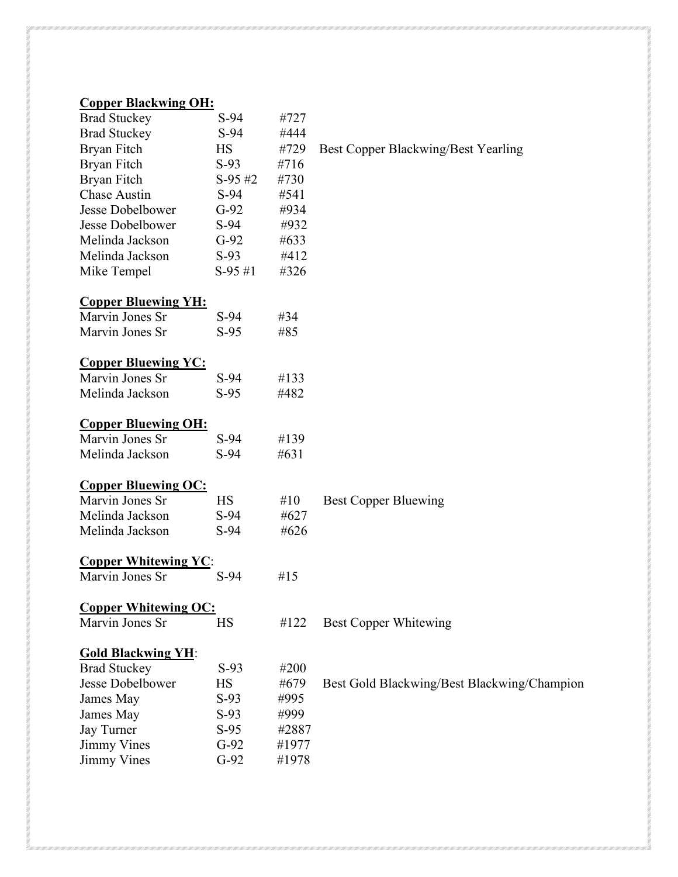# **Copper Blackwing OH:**

| <b>Brad Stuckey</b>         | $S-94$     | #727   |                                             |
|-----------------------------|------------|--------|---------------------------------------------|
| <b>Brad Stuckey</b>         | $S-94$     | #444   |                                             |
| Bryan Fitch                 | HS         | #729   | Best Copper Blackwing/Best Yearling         |
| Bryan Fitch                 | $S-93$     | #716   |                                             |
| <b>Bryan Fitch</b>          | $S-95 \#2$ | #730   |                                             |
| <b>Chase Austin</b>         | $S-94$     | #541   |                                             |
| Jesse Dobelbower            | $G-92$     | #934   |                                             |
| Jesse Dobelbower            | $S-94$     | #932   |                                             |
| Melinda Jackson             | $G-92$     | #633   |                                             |
| Melinda Jackson             | $S-93$     | #412   |                                             |
| Mike Tempel                 | $S-95#1$   | #326   |                                             |
| <b>Copper Bluewing YH:</b>  |            |        |                                             |
| Marvin Jones Sr             | $S-94$     | #34    |                                             |
| Marvin Jones Sr             | $S-95$     | #85    |                                             |
| <b>Copper Bluewing YC:</b>  |            |        |                                             |
| Marvin Jones Sr             | $S-94$     | #133   |                                             |
| Melinda Jackson             | $S-95$     | #482   |                                             |
| <b>Copper Bluewing OH:</b>  |            |        |                                             |
| Marvin Jones Sr             | $S-94$     | #139   |                                             |
| Melinda Jackson             | $S-94$     | #631   |                                             |
| <b>Copper Bluewing OC:</b>  |            |        |                                             |
| Marvin Jones Sr             | HS         | #10    | <b>Best Copper Bluewing</b>                 |
| Melinda Jackson             | $S-94$     | #627   |                                             |
| Melinda Jackson             | $S-94$     | #626   |                                             |
| <b>Copper Whitewing YC</b>  |            |        |                                             |
| Marvin Jones Sr             | $S-94$     | # $15$ |                                             |
| <b>Copper Whitewing OC:</b> |            |        |                                             |
| Marvin Jones Sr             | HS         | #122   | <b>Best Copper Whitewing</b>                |
| <b>Gold Blackwing YH:</b>   |            |        |                                             |
| <b>Brad Stuckey</b>         | $S-93$     | #200   |                                             |
| Jesse Dobelbower            | <b>HS</b>  | #679   | Best Gold Blackwing/Best Blackwing/Champion |
| James May                   | $S-93$     | #995   |                                             |
| James May                   | $S-93$     | #999   |                                             |
| Jay Turner                  | $S-95$     | #2887  |                                             |
| <b>Jimmy Vines</b>          | $G-92$     | #1977  |                                             |
| Jimmy Vines                 | $G-92$     | #1978  |                                             |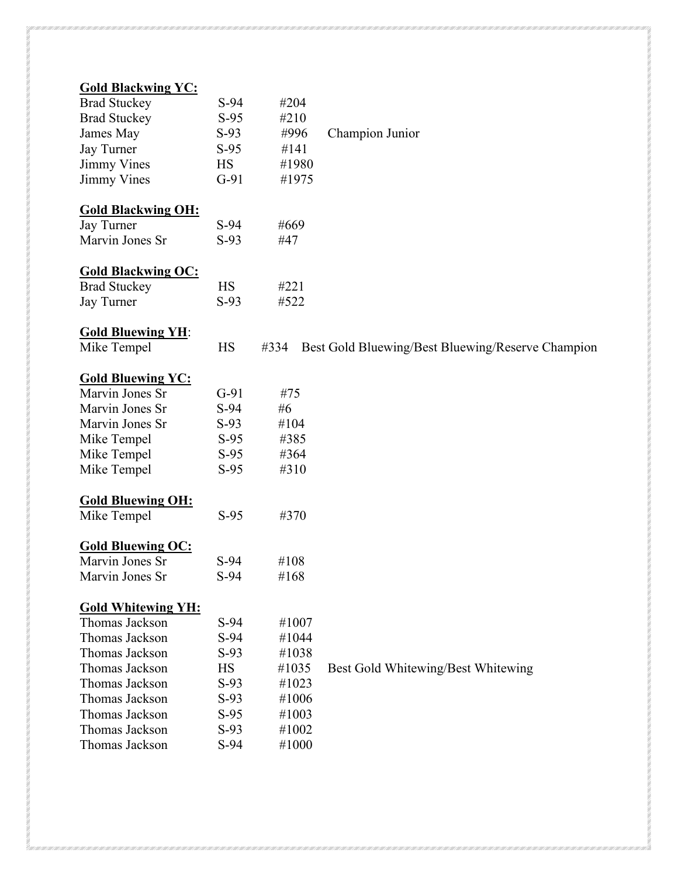| <b>Gold Blackwing YC:</b> |           |       |                                                   |
|---------------------------|-----------|-------|---------------------------------------------------|
| <b>Brad Stuckey</b>       | $S-94$    | #204  |                                                   |
| <b>Brad Stuckey</b>       | $S-95$    | #210  |                                                   |
| James May                 | $S-93$    | #996  | Champion Junior                                   |
| <b>Jay Turner</b>         | $S-95$    | #141  |                                                   |
| <b>Jimmy Vines</b>        | <b>HS</b> | #1980 |                                                   |
| <b>Jimmy Vines</b>        | $G-91$    | #1975 |                                                   |
| <b>Gold Blackwing OH:</b> |           |       |                                                   |
| Jay Turner                | $S-94$    | #669  |                                                   |
| Marvin Jones Sr           | $S-93$    | #47   |                                                   |
|                           |           |       |                                                   |
| <b>Gold Blackwing OC:</b> |           |       |                                                   |
| <b>Brad Stuckey</b>       | <b>HS</b> | #221  |                                                   |
| Jay Turner                | $S-93$    | #522  |                                                   |
| <b>Gold Bluewing YH:</b>  |           |       |                                                   |
| Mike Tempel               | HS        | #334  | Best Gold Bluewing/Best Bluewing/Reserve Champion |
| <b>Gold Bluewing YC:</b>  |           |       |                                                   |
| Marvin Jones Sr           | $G-91$    | #75   |                                                   |
| Marvin Jones Sr           | $S-94$    | #6    |                                                   |
| Marvin Jones Sr           | $S-93$    | #104  |                                                   |
| Mike Tempel               | $S-95$    | #385  |                                                   |
| Mike Tempel               | $S-95$    | #364  |                                                   |
|                           |           |       |                                                   |
| Mike Tempel               | $S-95$    | #310  |                                                   |
| <b>Gold Bluewing OH:</b>  |           |       |                                                   |
| Mike Tempel               | $S-95$    | #370  |                                                   |
| <b>Gold Bluewing OC:</b>  |           |       |                                                   |
| Marvin Jones Sr           | $S-94$    | #108  |                                                   |
| Marvin Jones Sr           | S-94      | #168  |                                                   |
| <b>Gold Whitewing YH:</b> |           |       |                                                   |
| Thomas Jackson            | $S-94$    | #1007 |                                                   |
| Thomas Jackson            | $S-94$    | #1044 |                                                   |
| Thomas Jackson            | $S-93$    | #1038 |                                                   |
|                           |           |       |                                                   |
| Thomas Jackson            | <b>HS</b> | #1035 | Best Gold Whitewing/Best Whitewing                |
| Thomas Jackson            | $S-93$    | #1023 |                                                   |
| Thomas Jackson            | $S-93$    | #1006 |                                                   |
| Thomas Jackson            | $S-95$    | #1003 |                                                   |
| Thomas Jackson            | $S-93$    | #1002 |                                                   |
| Thomas Jackson            | $S-94$    | #1000 |                                                   |